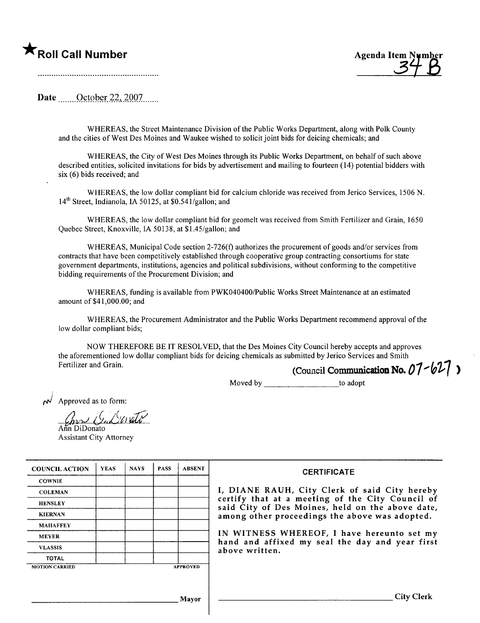

Date  $\qquad$  October 22, 2007.

WHEREAS, the Street Maintenance Division of the Public Works Department, along with Polk County and the cities of West Des Moines and Waukee wished to solicit joint bids for deicing chemicals; and

WHEREAS, the City of West Des Moines through its Public Works Department, on behalf of such above described entities, solicited invitations for bids by advertisement and mailing to fourteen (14) potential bidders with six (6) bids received; and

WHEREAS, the low dollar compliant bid for calcium chloride was received from Jerico Services, 1506 N. 14<sup>th</sup> Street, Indianola, IA 50125, at \$0.541/gallon; and

WHEREAS, the low dollar compliant bid for geomelt was received from Smith Fertilizer and Grain, 1650 Quebec Street, Knoxvile, IA 50138, at \$1.45/gallon; and

WHEREAS, Municipal Code section 2-726(f) authorizes the procurement of goods and/or services from contracts that have been competitively established through cooperative group contracting consortiums for state government departments, institutions, agencies and political subdivisions, without conforming to the competitive bidding requirements of the Procurement Division; and

WHEREAS, funding is available from PWK040400/Public Works Street Maintenance at an estimated amount of\$41,000.00; and

WHEREAS, the Procurement Administrator and the Public Works Department recommend approval of the low dollar compliant bids;

NOW THEREFORE BE IT RESOLVED, that the Des Moines City Council hereby accepts and approves the aforementioned low dollar compliant bids for deicing chemicals as submitted by Jerico Services and Smith Fertilizer and Grain. (Council Communication No.  $07 - 627$ )<br>Moved by to adopt to adopt

 $\overrightarrow{M}$  Approved as to form:

(hr) Gul 6 vito

Assistant City Attorney

| <b>COUNCIL ACTION</b> | <b>YEAS</b> | <b>NAVS</b> | <b>PASS</b> | <b>ABSENT</b>   | <b>CERTIFICATE</b>                                                                                   |
|-----------------------|-------------|-------------|-------------|-----------------|------------------------------------------------------------------------------------------------------|
| <b>COWNIE</b>         |             |             |             |                 |                                                                                                      |
| <b>COLEMAN</b>        |             |             |             |                 | I, DIANE RAUH, City Clerk of said City hereby                                                        |
| <b>HENSLEY</b>        |             |             |             |                 | certify that at a meeting of the City Council of<br>said City of Des Moines, held on the above date, |
| <b>KIERNAN</b>        |             |             |             |                 | among other proceedings the above was adopted.                                                       |
| <b>MAHAFFEY</b>       |             |             |             |                 |                                                                                                      |
| <b>MEYER</b>          |             |             |             |                 | IN WITNESS WHEREOF, I have hereunto set my                                                           |
| <b>VLASSIS</b>        |             |             |             |                 | hand and affixed my seal the day and year first<br>above written.                                    |
| <b>TOTAL</b>          |             |             |             |                 |                                                                                                      |
| <b>MOTION CARRIED</b> |             |             |             | <b>APPROVED</b> |                                                                                                      |
|                       |             |             |             |                 |                                                                                                      |
|                       |             |             |             | Mavor           | <b>City Clerk</b>                                                                                    |